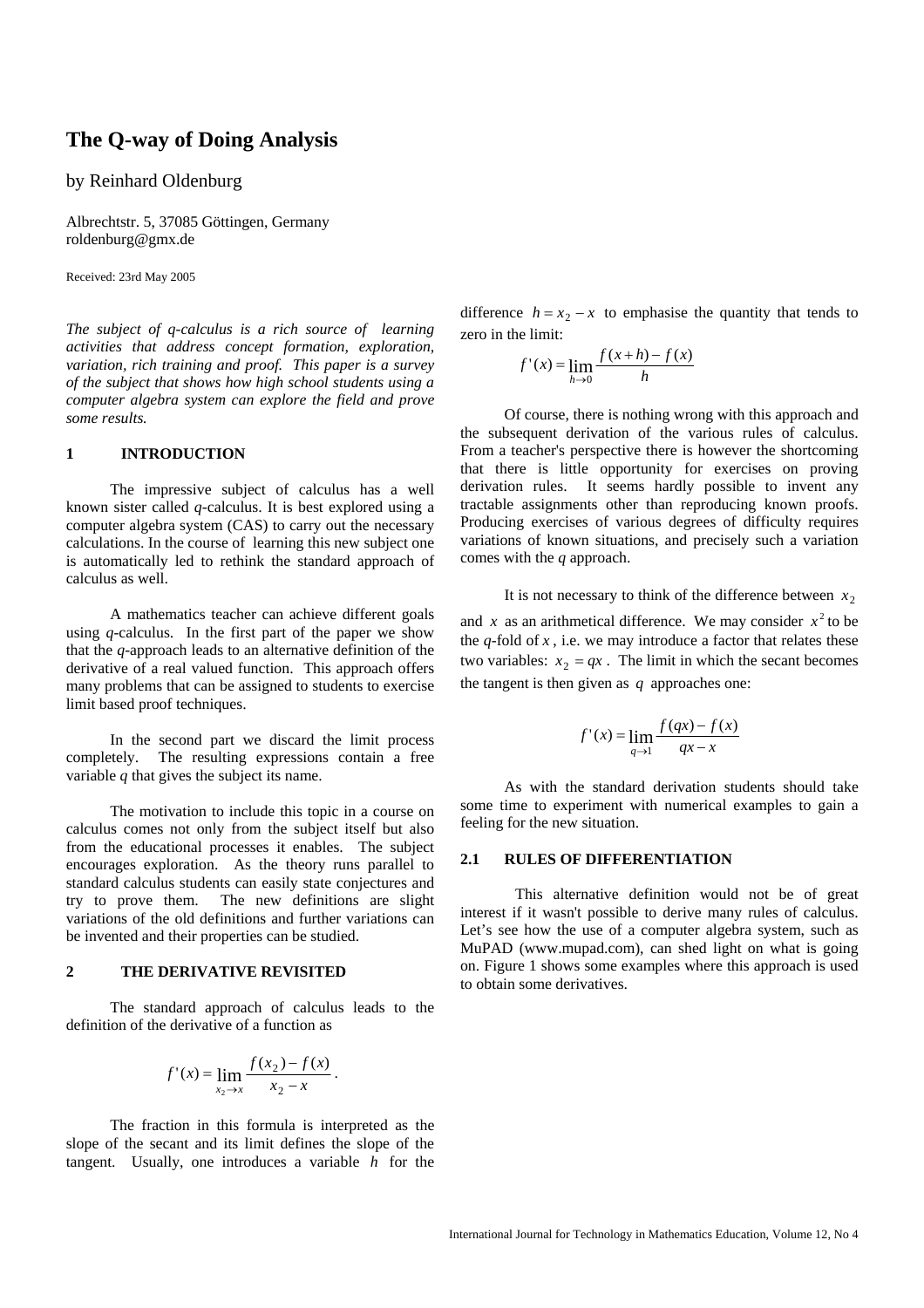# **The Q-way of Doing Analysis**

# by Reinhard Oldenburg

Albrechtstr. 5, 37085 Göttingen, Germany roldenburg@gmx.de

Received: 23rd May 2005

*The subject of q-calculus is a rich source of learning activities that address concept formation, exploration, variation, rich training and proof. This paper is a survey of the subject that shows how high school students using a computer algebra system can explore the field and prove some results.* 

## **1 INTRODUCTION**

The impressive subject of calculus has a well known sister called *q-*calculus. It is best explored using a computer algebra system (CAS) to carry out the necessary calculations. In the course of learning this new subject one is automatically led to rethink the standard approach of calculus as well.

A mathematics teacher can achieve different goals using *q*-calculus. In the first part of the paper we show that the *q*-approach leads to an alternative definition of the derivative of a real valued function. This approach offers many problems that can be assigned to students to exercise limit based proof techniques.

In the second part we discard the limit process completely. The resulting expressions contain a free variable *q* that gives the subject its name.

The motivation to include this topic in a course on calculus comes not only from the subject itself but also from the educational processes it enables. The subject encourages exploration. As the theory runs parallel to standard calculus students can easily state conjectures and try to prove them. The new definitions are slight variations of the old definitions and further variations can be invented and their properties can be studied.

## **2 THE DERIVATIVE REVISITED**

 The standard approach of calculus leads to the definition of the derivative of a function as

$$
f'(x) = \lim_{x_2 \to x} \frac{f(x_2) - f(x)}{x_2 - x}
$$

.

The fraction in this formula is interpreted as the slope of the secant and its limit defines the slope of the tangent. Usually, one introduces a variable *h* for the difference  $h = x_2 - x$  to emphasise the quantity that tends to zero in the limit:

$$
f'(x) = \lim_{h \to 0} \frac{f(x+h) - f(x)}{h}
$$

Of course, there is nothing wrong with this approach and the subsequent derivation of the various rules of calculus. From a teacher's perspective there is however the shortcoming that there is little opportunity for exercises on proving derivation rules. It seems hardly possible to invent any tractable assignments other than reproducing known proofs. Producing exercises of various degrees of difficulty requires variations of known situations, and precisely such a variation comes with the *q* approach.

It is not necessary to think of the difference between  $x_2$ 

and *x* as an arithmetical difference. We may consider  $x^2$  to be the  $q$ -fold of  $x$ , i.e. we may introduce a factor that relates these two variables:  $x_2 = qx$ . The limit in which the secant becomes the tangent is then given as *q* approaches one:

$$
f'(x) = \lim_{q \to 1} \frac{f(qx) - f(x)}{qx - x}
$$

As with the standard derivation students should take some time to experiment with numerical examples to gain a feeling for the new situation.

### **2.1 RULES OF DIFFERENTIATION**

 This alternative definition would not be of great interest if it wasn't possible to derive many rules of calculus. Let's see how the use of a computer algebra system, such as MuPAD (www.mupad.com), can shed light on what is going on. Figure 1 shows some examples where this approach is used to obtain some derivatives.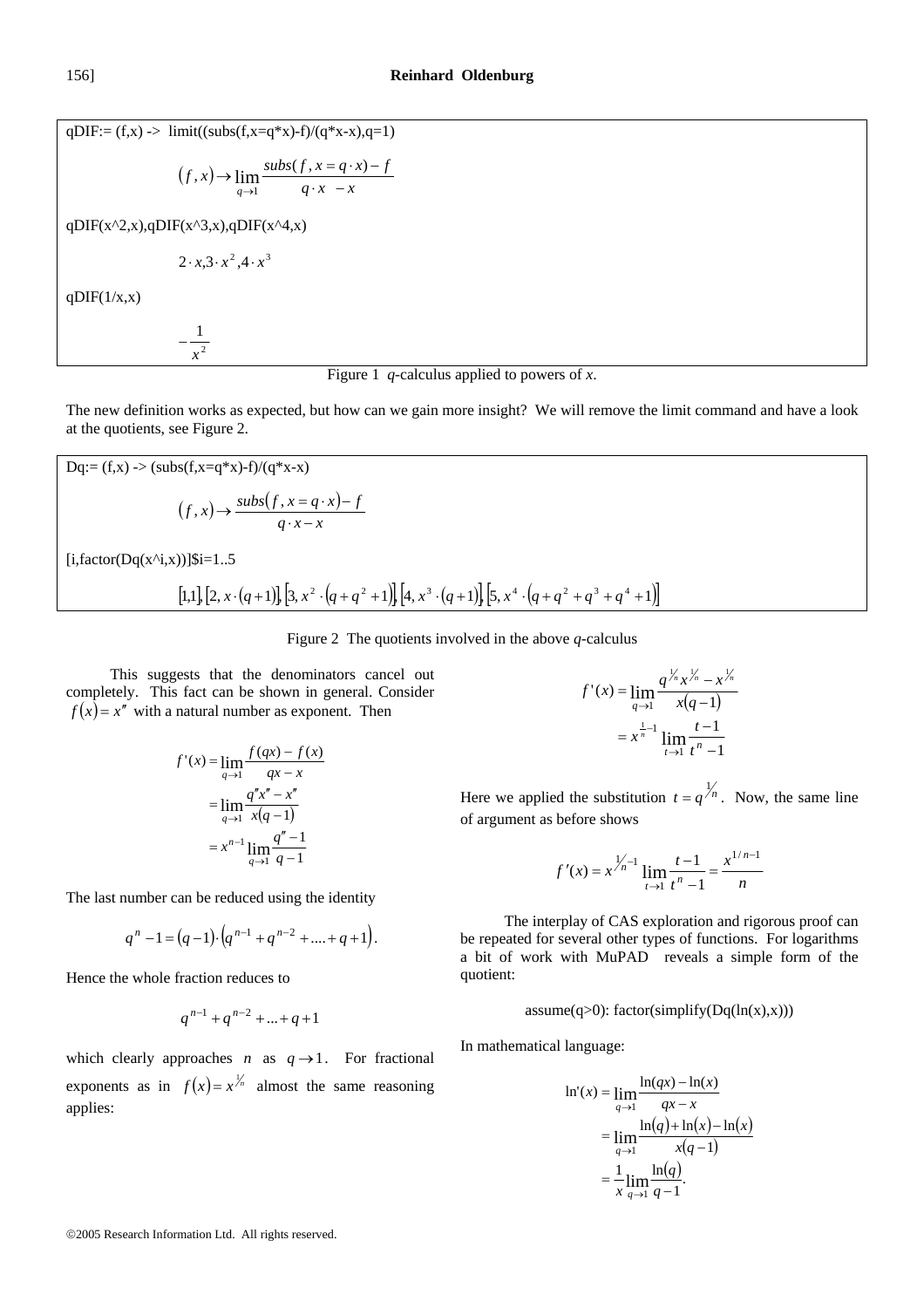qDIF:=  $(f,x)$  -> limit((subs( $f,x=q*x$ )-f)/ $(q*x-x)$ , $q=1$ )  $(f, x) \rightarrow \lim_{q \rightarrow 1} \frac{subs(f, x = q \cdot x) - f}{q \cdot x}$  $q \rightarrow 1$   $q \cdot x \rightarrow$   $\lim \frac{\textit{subs}(f, x = q \cdot x) (x, x) \rightarrow \lim_{q \rightarrow 1} \frac{subs(f, x = q \cdot x)}{q \cdot x - x}$ qDIF(x^2,x),qDIF(x^3,x),qDIF(x^4,x)  $2 \cdot x \cdot 3 \cdot x^2 \cdot 4 \cdot x^3$  $q$ DIF(1/x,x)  $-\frac{1}{a^2}$ 1  $\frac{1}{x}$ 



The new definition works as expected, but how can we gain more insight? We will remove the limit command and have a look at the quotients, see Figure 2.

$$
Dq:=(f,x) \to (subs(f,x=q*x)-f)/(q*x-x)
$$
  
\n
$$
(f,x) \to \frac{subs(f,x=q \cdot x) - f}{q \cdot x - x}
$$
  
\n[i, factor $(Dq(x^i,x))]$ Si=1..5  
\n[1,1] [2, x \cdot (q+1)], [3, x^2 \cdot (q+q^2+1)], [4, x^3 \cdot (q+1)], [5, x^4 \cdot (q+q^2+q^3+q^4+1)]

Figure 2 The quotients involved in the above *q*-calculus

 This suggests that the denominators cancel out completely. This fact can be shown in general. Consider  $f(x) = x''$  with a natural number as exponent. Then

$$
f'(x) = \lim_{q \to 1} \frac{f(qx) - f(x)}{qx - x}
$$

$$
= \lim_{q \to 1} \frac{q''x'' - x''}{x(q - 1)}
$$

$$
= x^{n-1} \lim_{q \to 1} \frac{q'' - 1}{q - 1}
$$

The last number can be reduced using the identity

$$
q^{n}-1=(q-1)\cdot (q^{n-1}+q^{n-2}+....+q+1).
$$

Hence the whole fraction reduces to

$$
q^{n-1} + q^{n-2} + \ldots + q + 1
$$

which clearly approaches *n* as  $q \rightarrow 1$ . For fractional exponents as in  $f(x) = x^{\frac{1}{n}}$  almost the same reasoning applies:

$$
f'(x) = \lim_{q \to 1} \frac{q^{\frac{y}{n}} x^{\frac{y}{n}} - x^{\frac{y}{n}}}{x(q-1)}
$$

$$
= x^{\frac{1}{n-1}} \lim_{t \to 1} \frac{t-1}{t^n - 1}
$$

Here we applied the substitution  $t = q^{\frac{1}{n}}$ . Now, the same line of argument as before shows

$$
f'(x) = x^{\frac{1}{n}-1} \lim_{t \to 1} \frac{t-1}{t^n-1} = \frac{x^{1/n-1}}{n}
$$

 The interplay of CAS exploration and rigorous proof can be repeated for several other types of functions. For logarithms a bit of work with MuPAD reveals a simple form of the quotient:

 $assume(q>0)$ : factor(simplify(Dq(ln(x),x)))

In mathematical language:

$$
\ln'(x) = \lim_{q \to 1} \frac{\ln(qx) - \ln(x)}{qx - x}
$$

$$
= \lim_{q \to 1} \frac{\ln(q) + \ln(x) - \ln(x)}{x(q - 1)}
$$

$$
= \frac{1}{x} \lim_{q \to 1} \frac{\ln(q)}{q - 1}.
$$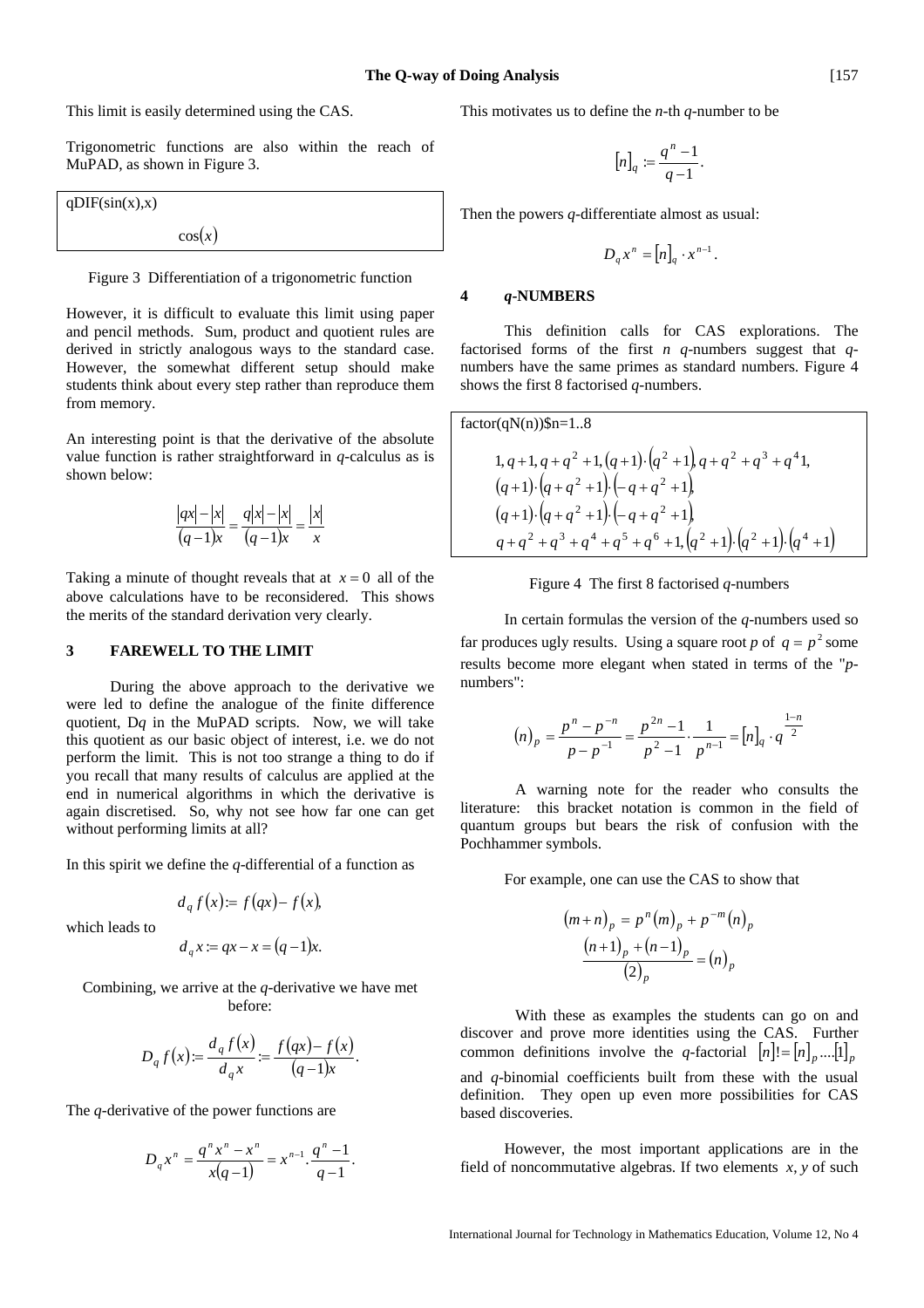This limit is easily determined using the CAS.

Trigonometric functions are also within the reach of MuPAD, as shown in Figure 3.

$$
qDIF(sin(x),x)
$$

$$
cos(x)
$$

Figure 3 Differentiation of a trigonometric function

However, it is difficult to evaluate this limit using paper and pencil methods. Sum, product and quotient rules are derived in strictly analogous ways to the standard case. However, the somewhat different setup should make students think about every step rather than reproduce them from memory.

An interesting point is that the derivative of the absolute value function is rather straightforward in *q*-calculus as is shown below:

$$
\frac{|qx| - |x|}{(q-1)x} = \frac{q|x| - |x|}{(q-1)x} = \frac{|x|}{x}
$$

Taking a minute of thought reveals that at  $x = 0$  all of the above calculations have to be reconsidered. This shows the merits of the standard derivation very clearly.

#### **3 FAREWELL TO THE LIMIT**

During the above approach to the derivative we were led to define the analogue of the finite difference quotient, D*q* in the MuPAD scripts. Now, we will take this quotient as our basic object of interest, i.e. we do not perform the limit. This is not too strange a thing to do if you recall that many results of calculus are applied at the end in numerical algorithms in which the derivative is again discretised. So, why not see how far one can get without performing limits at all?

In this spirit we define the *q-*differential of a function as

$$
d_q f(x) = f(qx) - f(x),
$$

which leads to

$$
d_q x := qx - x = (q - 1)x.
$$

Combining, we arrive at the *q*-derivative we have met before:

$$
D_q f(x) = \frac{d_q f(x)}{d_q x} = \frac{f(qx) - f(x)}{(q-1)x}.
$$

The *q*-derivative of the power functions are

$$
D_q x^n = \frac{q^n x^n - x^n}{x(q-1)} = x^{n-1} \cdot \frac{q^n - 1}{q-1}.
$$

This motivates us to define the *n*-th *q*-number to be

$$
[n]_q := \frac{q^n - 1}{q - 1}.
$$

Then the powers *q*-differentiate almost as usual:

$$
D_q x^n = [n]_q \cdot x^{n-1}.
$$

#### **4** *q***-NUMBERS**

This definition calls for CAS explorations. The factorised forms of the first *n q*-numbers suggest that *q*numbers have the same primes as standard numbers. Figure 4 shows the first 8 factorised *q*-numbers.

factor(qN(n))\$n=1..8 ( ) ( ) ( ) 1 ( )( ) 1 1 , 1, 1, 1, 1 1 , 1, 2 2 2 2 2 3 4 + ⋅ + + ⋅ − + + + + + + ⋅ + + + + *q q q q q q q q q q q q q q* ( ) ( ) ( ) 1,( )( )( ) 1 1 1 1 1 1 , 2 3 4 5 6 2 2 4 2 2 + + + + + + + ⋅ + ⋅ + + ⋅ + + ⋅ − + + *q q q q q q q q q q q q q q*



 In certain formulas the version of the *q*-numbers used so far produces ugly results. Using a square root *p* of  $q = p^2$  some results become more elegant when stated in terms of the "*p*numbers":

$$
(n)_p = \frac{p^n - p^{-n}}{p - p^{-1}} = \frac{p^{2n} - 1}{p^2 - 1} \cdot \frac{1}{p^{n-1}} = [n]_q \cdot q^{\frac{1-n}{2}}
$$

 A warning note for the reader who consults the literature: this bracket notation is common in the field of quantum groups but bears the risk of confusion with the Pochhammer symbols.

For example, one can use the CAS to show that

$$
(m+n)_p = p^n (m)_p + p^{-m} (n)_p
$$

$$
\frac{(n+1)_p + (n-1)_p}{(2)_p} = (n)_p
$$

 With these as examples the students can go on and discover and prove more identities using the CAS. Further common definitions involve the *q*-factorial  $[n] = [n]_n \dots [1]_n$ and *q*-binomial coefficients built from these with the usual definition. They open up even more possibilities for CAS based discoveries.

 However, the most important applications are in the field of noncommutative algebras. If two elements *x*, *y* of such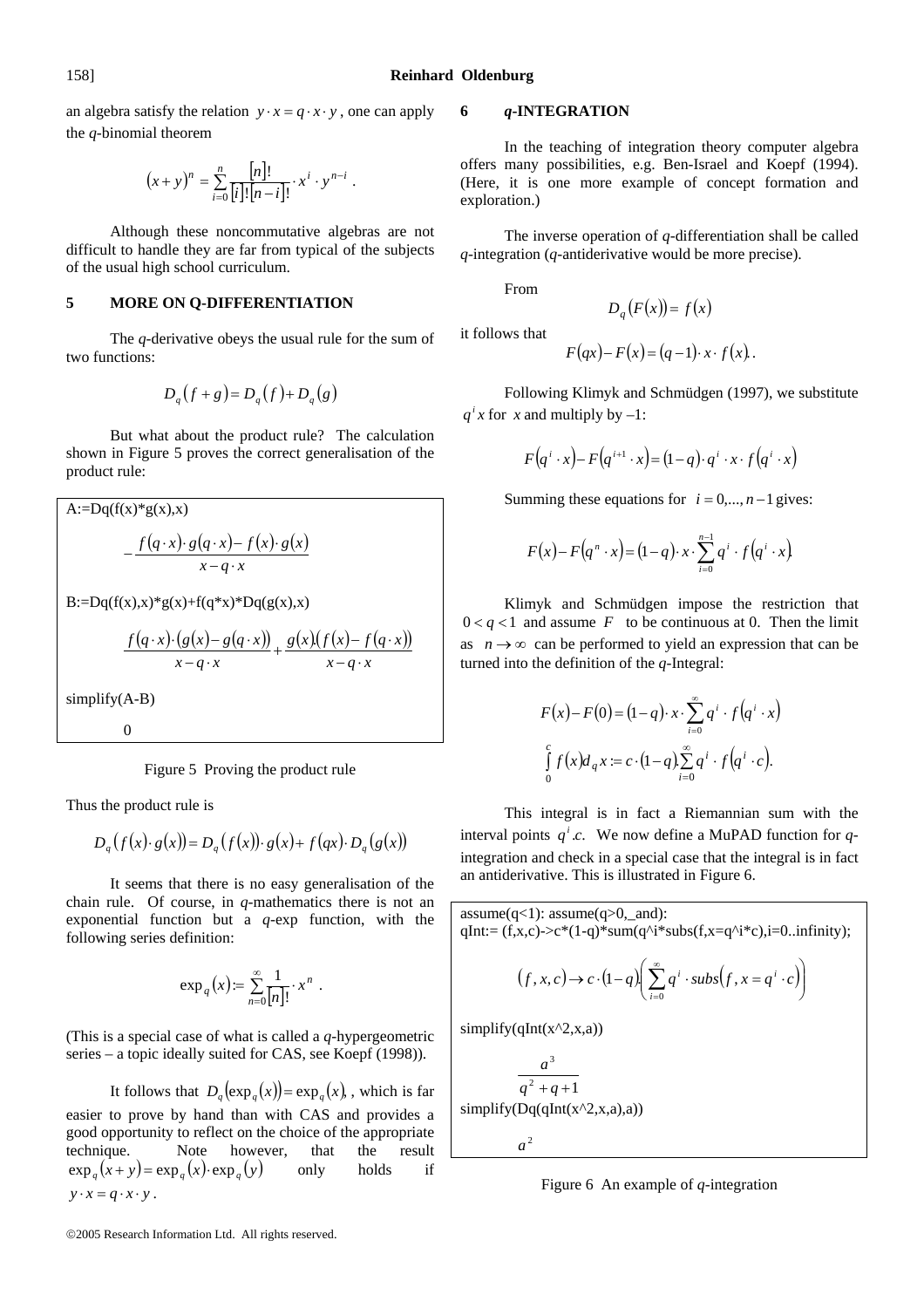an algebra satisfy the relation  $y \cdot x = q \cdot x \cdot y$ , one can apply the *q*-binomial theorem

$$
(x+y)^n = \sum_{i=0}^n \frac{[n]!}{[i]! [n-i]!} \cdot x^i \cdot y^{n-i} .
$$

 Although these noncommutative algebras are not difficult to handle they are far from typical of the subjects of the usual high school curriculum.

## **5 MORE ON Q-DIFFERENTIATION**

 The *q*-derivative obeys the usual rule for the sum of two functions:

$$
D_q(f+g) = D_q(f) + D_q(g)
$$

 But what about the product rule? The calculation shown in Figure 5 proves the correct generalisation of the product rule:

A:=Dq(f(x)\*g(x),x)  
\n
$$
-\frac{f(q \cdot x) \cdot g(q \cdot x) - f(x) \cdot g(x)}{x - q \cdot x}
$$
\nB:=Dq(f(x),x)\*g(x)+f(q\*x)\*Dq(g(x),x)  
\n
$$
\frac{f(q \cdot x) \cdot (g(x) - g(q \cdot x))}{x - q \cdot x} + \frac{g(x)(f(x) - f(q \cdot x))}{x - q \cdot x}
$$
\nsimplify(A-B)  
\n0

Figure 5 Proving the product rule

Thus the product rule is

$$
D_q(f(x) \cdot g(x)) = D_q(f(x)) \cdot g(x) + f(qx) \cdot D_q(g(x))
$$

 It seems that there is no easy generalisation of the chain rule. Of course, in *q*-mathematics there is not an exponential function but a *q*-exp function, with the following series definition:

$$
\exp_q(x) := \sum_{n=0}^{\infty} \frac{1}{[n]!} \cdot x^n .
$$

(This is a special case of what is called a *q*-hypergeometric series – a topic ideally suited for CAS, see Koepf (1998)).

It follows that  $D_a(\exp_a(x)) = \exp_a(x)$ , which is far easier to prove by hand than with CAS and provides a good opportunity to reflect on the choice of the appropriate technique. Note however, that the result  $\exp_a(x+y) = \exp_a(x) \cdot \exp_a(y)$  only holds if  $y \cdot x = q \cdot x \cdot y$ .

#### **6** *q***-INTEGRATION**

 In the teaching of integration theory computer algebra offers many possibilities, e.g. Ben-Israel and Koepf (1994). (Here, it is one more example of concept formation and exploration.)

 The inverse operation of *q*-differentiation shall be called *q*-integration (*q*-antiderivative would be more precise).

From

$$
D_q(F(x)) = f(x)
$$

it follows that

$$
F(qx) - F(x) = (q-1) \cdot x \cdot f(x).
$$

 Following Klimyk and Schmüdgen (1997), we substitute  $q^i$ *x* for *x* and multiply by –1:

$$
F(q^{i} \cdot x) - F(q^{i+1} \cdot x) = (1-q) \cdot q^{i} \cdot x \cdot f(q^{i} \cdot x)
$$

Summing these equations for  $i = 0, ..., n-1$  gives:

$$
F(x) - F(q^n \cdot x) = (1-q) \cdot x \cdot \sum_{i=0}^{n-1} q^i \cdot f(q^i \cdot x)
$$

 Klimyk and Schmüdgen impose the restriction that  $0 < q < 1$  and assume *F* to be continuous at 0. Then the limit as  $n \rightarrow \infty$  can be performed to yield an expression that can be turned into the definition of the *q*-Integral:

$$
F(x) - F(0) = (1-q) \cdot x \cdot \sum_{i=0}^{\infty} q^{i} \cdot f(q^{i} \cdot x)
$$

$$
\int_{0}^{c} f(x) d_{q} x = c \cdot (1-q) \sum_{i=0}^{\infty} q^{i} \cdot f(q^{i} \cdot c).
$$

 This integral is in fact a Riemannian sum with the interval points  $q^i.c$ . We now define a MuPAD function for  $q$ integration and check in a special case that the integral is in fact an antiderivative. This is illustrated in Figure 6.

assume(q<1): assume(q>0,\_and): qInt:= (f,x,c)->c\*(1-q)\*sum(q^i\*subs(f,x=q^i\*c),i=0..infinity); ( ) () ( )⎟ ⎟ ⎠ ⎞ ⎜ ⎜ ⎝ ⎛ <sup>→</sup> <sup>⋅</sup> <sup>−</sup> ∑ <sup>⋅</sup> <sup>=</sup> <sup>⋅</sup> ∞ =0 , , 1 . , *i <sup>i</sup> <sup>i</sup> f x c c q q subs f x q c* simplify(qInt(x^2,x,a)) 1 <sup>2</sup> 3 *q* + *q* + *a*

 $simplify(Dq(qInt(x^2,x,a),a))$ 

 $a^2$ 

Figure 6 An example of *q*-integration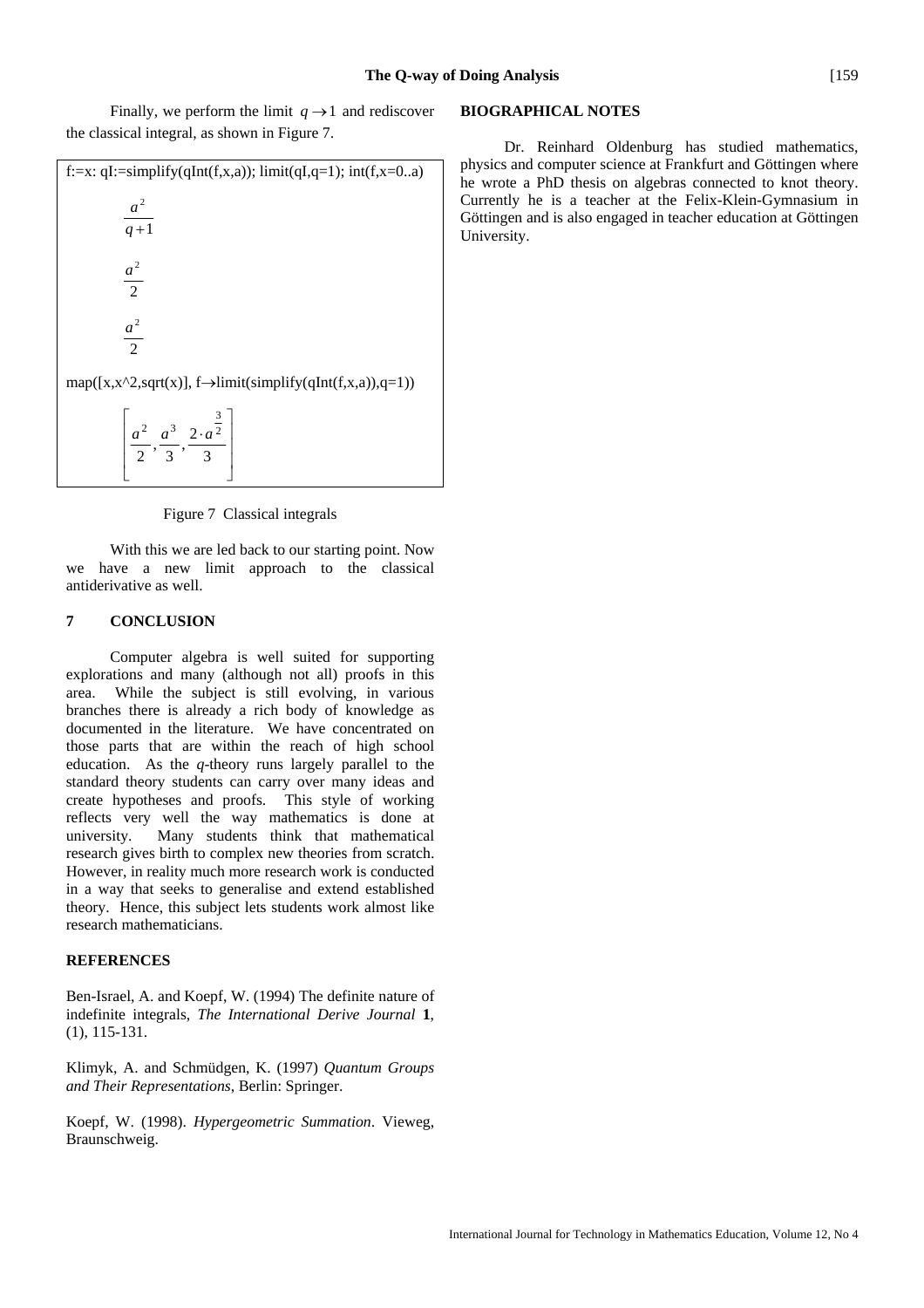Finally, we perform the limit  $q \rightarrow 1$  and rediscover the classical integral, as shown in Figure 7.

| f:=x: qI:=simplify(qInt(f,x,a)); limit(qI,q=1); int(f,x=0a)                 |
|-----------------------------------------------------------------------------|
| $\frac{a^2}{q+1}$                                                           |
| $\frac{a^2}{a}$<br>$\overline{2}$                                           |
| $a^2$<br>$\mathcal{D}_{\alpha}$                                             |
| $map([x, x^2, sqrt(x)], f \rightarrow limit(simplify(qInt(f, x, a)), q=1))$ |
| $\frac{3}{2}$<br>$\overline{a}$                                             |

$$
\left[ \frac{a^2}{2}, \frac{a^3}{3}, \frac{2 \cdot a^{\frac{3}{2}}}{3} \right]
$$

#### Figure 7 Classical integrals

 $\overline{\phantom{a}}$  $\overline{\phantom{a}}$  $\overline{\phantom{a}}$ 

⎦

 With this we are led back to our starting point. Now we have a new limit approach to the classical antiderivative as well.

# **7 CONCLUSION**

 Computer algebra is well suited for supporting explorations and many (although not all) proofs in this area. While the subject is still evolving, in various branches there is already a rich body of knowledge as documented in the literature. We have concentrated on those parts that are within the reach of high school education. As the *q*-theory runs largely parallel to the standard theory students can carry over many ideas and create hypotheses and proofs. This style of working reflects very well the way mathematics is done at university. Many students think that mathematical research gives birth to complex new theories from scratch. However, in reality much more research work is conducted in a way that seeks to generalise and extend established theory. Hence, this subject lets students work almost like research mathematicians.

## **REFERENCES**

Ben-Israel, A. and Koepf, W. (1994) The definite nature of indefinite integrals, *The International Derive Journal* **1**, (1), 115-131.

Klimyk, A. and Schmüdgen, K. (1997) *Quantum Groups and Their Representations*, Berlin: Springer.

Koepf, W. (1998). *Hypergeometric Summation*. Vieweg, Braunschweig.

# **BIOGRAPHICAL NOTES**

 Dr. Reinhard Oldenburg has studied mathematics, physics and computer science at Frankfurt and Göttingen where he wrote a PhD thesis on algebras connected to knot theory. Currently he is a teacher at the Felix-Klein-Gymnasium in Göttingen and is also engaged in teacher education at Göttingen University.